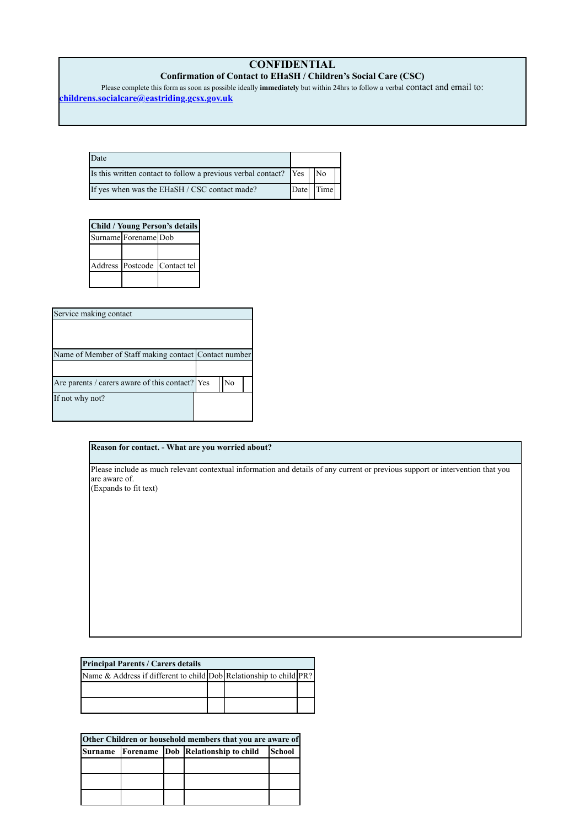## **CONFIDENTIAL**

## **Confirmation of Contact to EHaSH / Children's Social Care (CSC)**

Please complete this form as soon as possible ideally **immediately** but within 24hrs to follow a verbal contact and email to:

**childrens.socialcare@eastriding.gcsx.gov.uk**

| Date                                                                    |           |  |  |
|-------------------------------------------------------------------------|-----------|--|--|
| Is this written contact to follow a previous verbal contact?   Yes   No |           |  |  |
| If yes when was the EHaSH / CSC contact made?                           | Date Time |  |  |

| <b>Child / Young Person's details</b> |                      |                              |  |  |
|---------------------------------------|----------------------|------------------------------|--|--|
|                                       | Surname Forename Dob |                              |  |  |
|                                       |                      |                              |  |  |
|                                       |                      | Address Postcode Contact tel |  |  |
|                                       |                      |                              |  |  |

| Service making contact                                |    |  |
|-------------------------------------------------------|----|--|
|                                                       |    |  |
|                                                       |    |  |
| Name of Member of Staff making contact Contact number |    |  |
|                                                       |    |  |
| Are parents / carers aware of this contact? Yes       | No |  |
| If not why not?                                       |    |  |
|                                                       |    |  |

## **Reason for contact. - What are you worried about?**

Please include as much relevant contextual information and details of any current or previous support or intervention that you are aware of. (Expands to fit text)

| <b>Principal Parents / Carers details</b>                          |  |  |  |  |  |
|--------------------------------------------------------------------|--|--|--|--|--|
| Name & Address if different to child Dob Relationship to child PR? |  |  |  |  |  |
|                                                                    |  |  |  |  |  |
|                                                                    |  |  |  |  |  |

| Other Children or household members that you are aware of |  |  |                                    |        |
|-----------------------------------------------------------|--|--|------------------------------------|--------|
| Surname                                                   |  |  | Forename Dob Relationship to child | School |
|                                                           |  |  |                                    |        |
|                                                           |  |  |                                    |        |
|                                                           |  |  |                                    |        |
|                                                           |  |  |                                    |        |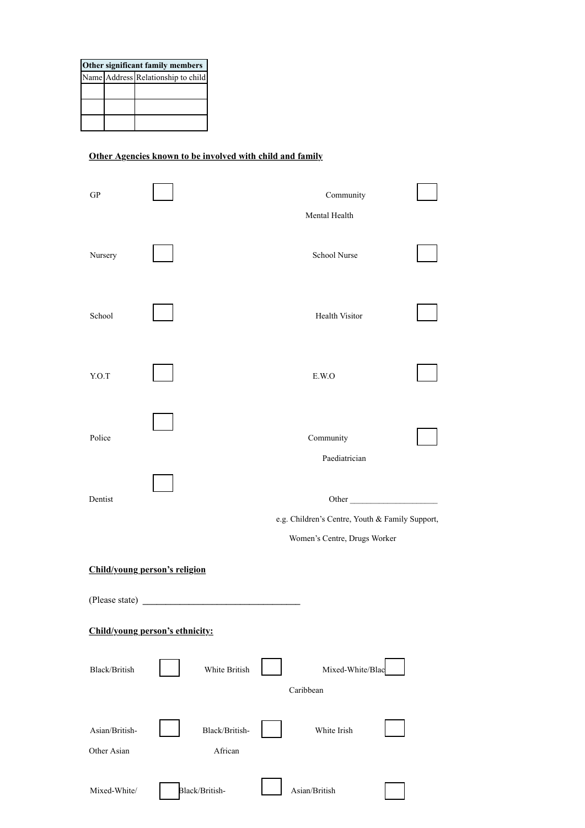| Other significant family members |  |                                    |  |  |
|----------------------------------|--|------------------------------------|--|--|
|                                  |  | Name Address Relationship to child |  |  |
|                                  |  |                                    |  |  |
|                                  |  |                                    |  |  |
|                                  |  |                                    |  |  |

## **Other Agencies known to be involved with child and family**

| GP                            |                                 | Community<br>Mental Health                                                               |  |
|-------------------------------|---------------------------------|------------------------------------------------------------------------------------------|--|
| Nursery                       |                                 | School Nurse                                                                             |  |
| School                        |                                 | Health Visitor                                                                           |  |
| Y.O.T                         |                                 | $\mathbf{E}.\mathbf{W}.\mathbf{O}$                                                       |  |
| Police                        |                                 | Community<br>Paediatrician                                                               |  |
| Dentist                       |                                 | Other<br>e.g. Children's Centre, Youth & Family Support,<br>Women's Centre, Drugs Worker |  |
| Child/young person's religion |                                 |                                                                                          |  |
| (Please state)                |                                 |                                                                                          |  |
|                               | Child/young person's ethnicity: |                                                                                          |  |
| Black/British                 | White British                   | Mixed-White/Blac<br>Caribbean                                                            |  |
| Asian/British-<br>Other Asian | Black/British-<br>African       | White Irish                                                                              |  |
| Mixed-White/                  | Black/British-                  | Asian/British                                                                            |  |